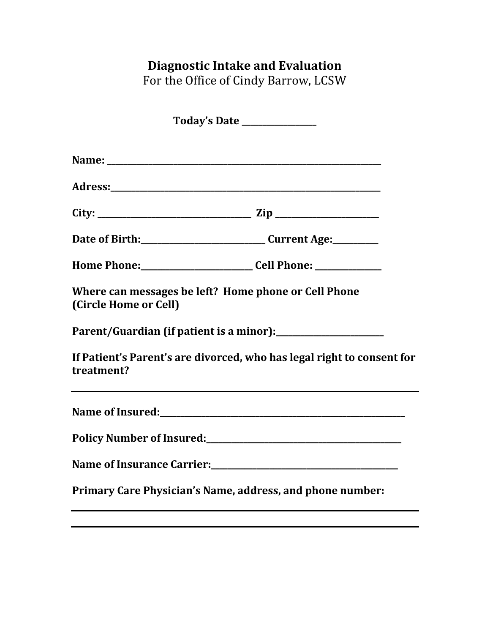## **Diagnostic Intake and Evaluation**

For the Office of Cindy Barrow, LCSW

| Today's Date _______________ |                                                                                                                                                                                                                    |
|------------------------------|--------------------------------------------------------------------------------------------------------------------------------------------------------------------------------------------------------------------|
|                              |                                                                                                                                                                                                                    |
|                              |                                                                                                                                                                                                                    |
|                              |                                                                                                                                                                                                                    |
|                              | Date of Birth: ___________________________________Current Age:___________                                                                                                                                          |
|                              | Home Phone: ___________________________________Cell Phone: _____________________                                                                                                                                   |
| (Circle Home or Cell)        | Where can messages be left? Home phone or Cell Phone                                                                                                                                                               |
|                              |                                                                                                                                                                                                                    |
| treatment?                   | If Patient's Parent's are divorced, who has legal right to consent for                                                                                                                                             |
|                              |                                                                                                                                                                                                                    |
|                              |                                                                                                                                                                                                                    |
|                              | Name of Insurance Carrier:<br><u>Letter</u> and the Carrier of Insurance Carrier: <u> Letter</u> <b>Letter Letter Letter Letter Letter Letter Letter Letter Letter Letter Letter Letter Letter Letter Letter L</b> |
|                              | Primary Care Physician's Name, address, and phone number:                                                                                                                                                          |
|                              |                                                                                                                                                                                                                    |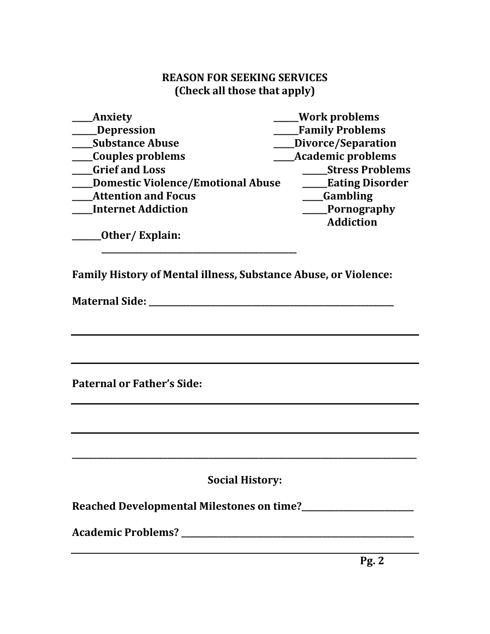## **REASON FOR SEEKING SERVICES (Check all those that apply)**

| Anxiety                                  | <b>Work problems</b>     |
|------------------------------------------|--------------------------|
| <b>Depression</b>                        | <b>Family Problems</b>   |
| <b>Substance Abuse</b>                   | Divorce/Separation       |
| Couples problems                         | <b>Academic problems</b> |
| <b>Grief and Loss</b>                    | <b>Stress Problems</b>   |
| <b>Domestic Violence/Emotional Abuse</b> | <b>Eating Disorder</b>   |
| <b>Attention and Focus</b>               | Gambling                 |
| <b>Internet Addiction</b>                | <b>Pornography</b>       |
|                                          | <b>Addiction</b>         |
| Other/Explain:                           |                          |
|                                          |                          |
|                                          |                          |

**Family History of Mental illness, Substance Abuse, or Violence:**

**Maternal Side: \_\_\_\_\_\_\_\_\_\_\_\_\_\_\_\_\_\_\_\_\_\_\_\_\_\_\_\_\_\_\_\_\_\_\_\_\_\_\_\_\_\_\_\_\_\_\_\_\_\_\_\_\_\_\_\_\_\_\_**

**Paternal or Father's Side:**

**Social History:**

**\_\_\_\_\_\_\_\_\_\_\_\_\_\_\_\_\_\_\_\_\_\_\_\_\_\_\_\_\_\_\_\_\_\_\_\_\_\_\_\_\_\_\_\_\_\_\_\_\_\_\_\_\_\_\_\_\_\_\_\_\_\_\_\_\_\_\_\_\_\_\_\_\_\_\_\_\_\_\_\_\_\_\_**

**Reached Developmental Milestones on time?\_\_\_\_\_\_\_\_\_\_\_\_\_\_\_\_\_\_\_\_\_\_\_\_\_\_\_**

**Academic Problems? \_\_\_\_\_\_\_\_\_\_\_\_\_\_\_\_\_\_\_\_\_\_\_\_\_\_\_\_\_\_\_\_\_\_\_\_\_\_\_\_\_\_\_\_\_\_\_\_\_\_\_\_\_\_\_\_**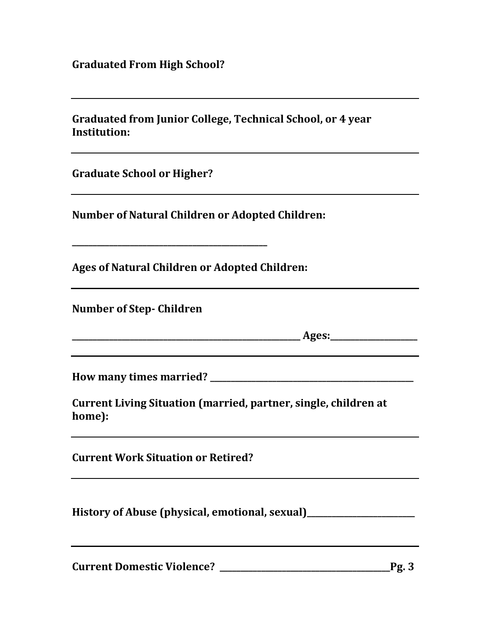**Graduated From High School?**

| Graduated from Junior College, Technical School, or 4 year<br><b>Institution:</b> |  |
|-----------------------------------------------------------------------------------|--|
| <b>Graduate School or Higher?</b>                                                 |  |
| <b>Number of Natural Children or Adopted Children:</b>                            |  |
| <b>Ages of Natural Children or Adopted Children:</b>                              |  |
| <b>Number of Step-Children</b>                                                    |  |
|                                                                                   |  |
|                                                                                   |  |
| Current Living Situation (married, partner, single, children at<br>home):         |  |
| <b>Current Work Situation or Retired?</b>                                         |  |
| History of Abuse (physical, emotional, sexual)__________________________________  |  |
|                                                                                   |  |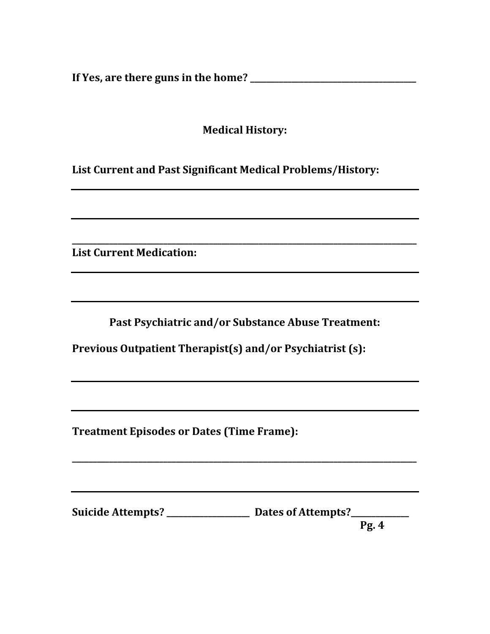**If Yes, are there guns in the home? \_\_\_\_\_\_\_\_\_\_\_\_\_\_\_\_\_\_\_\_\_\_\_\_\_\_\_\_\_\_\_\_\_\_\_\_\_\_\_\_**

**Medical History:**

**List Current and Past Significant Medical Problems/History:**

**List Current Medication:**

**Past Psychiatric and/or Substance Abuse Treatment:**

**\_\_\_\_\_\_\_\_\_\_\_\_\_\_\_\_\_\_\_\_\_\_\_\_\_\_\_\_\_\_\_\_\_\_\_\_\_\_\_\_\_\_\_\_\_\_\_\_\_\_\_\_\_\_\_\_\_\_\_\_\_\_\_\_\_\_\_\_\_\_\_\_\_\_\_\_\_\_\_\_\_\_\_**

**\_\_\_\_\_\_\_\_\_\_\_\_\_\_\_\_\_\_\_\_\_\_\_\_\_\_\_\_\_\_\_\_\_\_\_\_\_\_\_\_\_\_\_\_\_\_\_\_\_\_\_\_\_\_\_\_\_\_\_\_\_\_\_\_\_\_\_\_\_\_\_\_\_\_\_\_\_\_\_\_\_\_\_**

**Previous Outpatient Therapist(s) and/or Psychiatrist (s):**

**Treatment Episodes or Dates (Time Frame):**

Suicide Attempts? \_\_\_\_\_\_\_\_\_\_\_\_\_\_\_\_\_\_\_\_\_\_\_ Dates of Attempts?\_\_\_\_\_\_\_\_\_\_\_\_\_\_\_\_\_\_\_\_

**Pg. 4**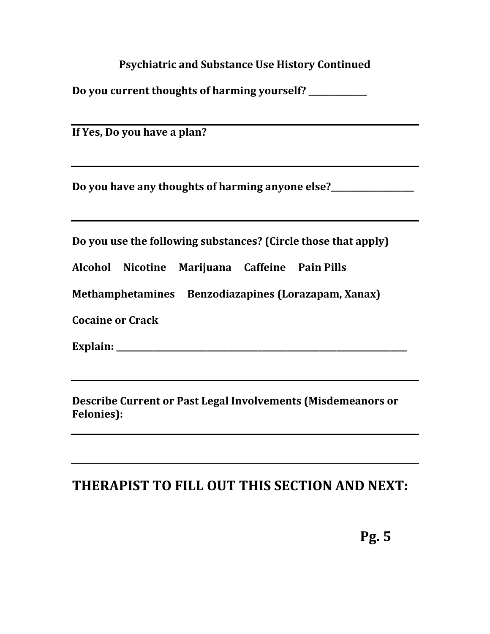**Psychiatric and Substance Use History Continued**

**Do you current thoughts of harming yourself? \_\_\_\_\_\_\_\_\_\_\_\_\_\_**

**If Yes, Do you have a plan?**

**Do you have any thoughts of harming anyone else?\_\_\_\_\_\_\_\_\_\_\_\_\_\_\_\_\_\_\_\_**

**Do you use the following substances? (Circle those that apply)**

**Alcohol Nicotine Marijuana Caffeine Pain Pills** 

**Methamphetamines Benzodiazapines (Lorazapam, Xanax)**

**Cocaine or Crack**

**Explain: \_\_\_\_\_\_\_\_\_\_\_\_\_\_\_\_\_\_\_\_\_\_\_\_\_\_\_\_\_\_\_\_\_\_\_\_\_\_\_\_\_\_\_\_\_\_\_\_\_\_\_\_\_\_\_\_\_\_\_\_\_\_\_\_\_\_\_\_\_\_**

**Describe Current or Past Legal Involvements (Misdemeanors or Felonies):**

## **THERAPIST TO FILL OUT THIS SECTION AND NEXT:**

**Pg. 5**